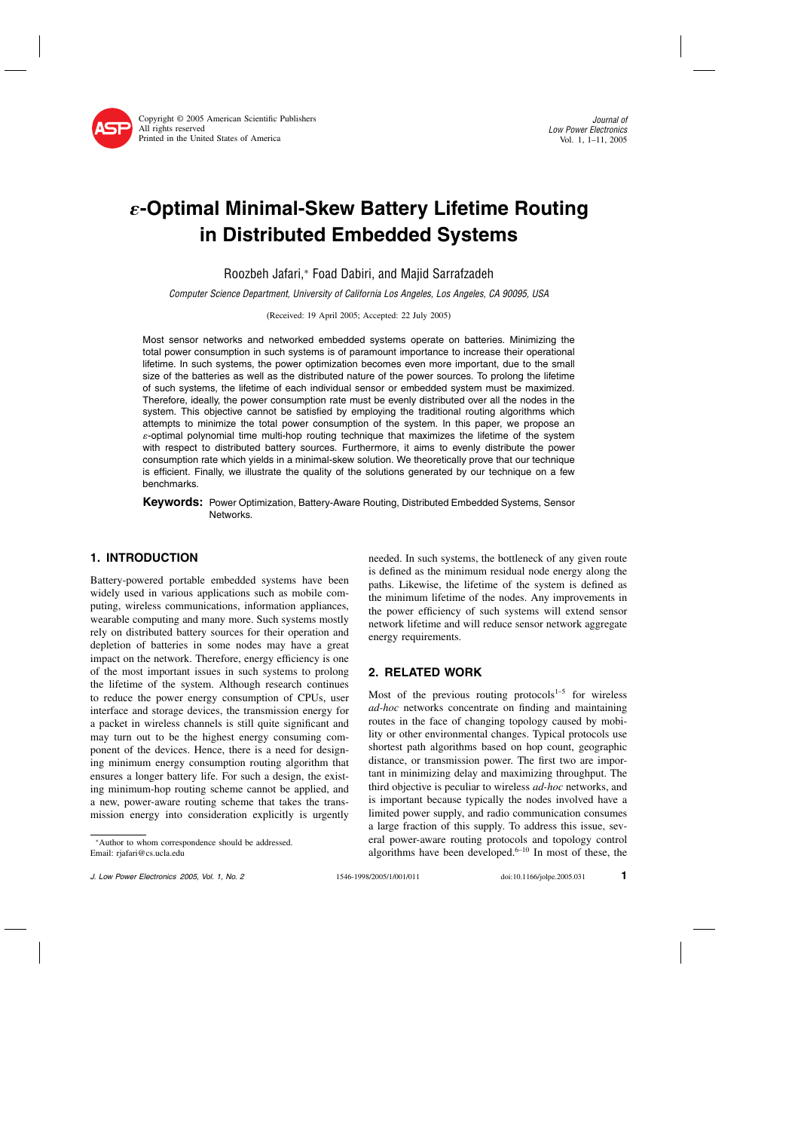

# $\varepsilon$ -Optimal Minimal-Skew Battery Lifetime Routing in Distributed Embedded Systems

Roozbeh Jafari,<sup>∗</sup> Foad Dabiri, and Majid Sarrafzadeh

Computer Science Department, University of California Los Angeles, Los Angeles, CA 90095, USA

(Received: 19 April 2005; Accepted: 22 July 2005)

Most sensor networks and networked embedded systems operate on batteries. Minimizing the total power consumption in such systems is of paramount importance to increase their operational lifetime. In such systems, the power optimization becomes even more important, due to the small size of the batteries as well as the distributed nature of the power sources. To prolong the lifetime of such systems, the lifetime of each individual sensor or embedded system must be maximized. Therefore, ideally, the power consumption rate must be evenly distributed over all the nodes in the system. This objective cannot be satisfied by employing the traditional routing algorithms which attempts to minimize the total power consumption of the system. In this paper, we propose an  $\varepsilon$ -optimal polynomial time multi-hop routing technique that maximizes the lifetime of the system with respect to distributed battery sources. Furthermore, it aims to evenly distribute the power consumption rate which yields in a minimal-skew solution. We theoretically prove that our technique is efficient. Finally, we illustrate the quality of the solutions generated by our technique on a few benchmarks.

**Keywords:** Power Optimization, Battery-Aware Routing, Distributed Embedded Systems, Sensor Networks.

# 1. INTRODUCTION

Battery-powered portable embedded systems have been widely used in various applications such as mobile computing, wireless communications, information appliances, wearable computing and many more. Such systems mostly rely on distributed battery sources for their operation and depletion of batteries in some nodes may have a great impact on the network. Therefore, energy efficiency is one of the most important issues in such systems to prolong the lifetime of the system.Although research continues to reduce the power energy consumption of CPUs, user interface and storage devices, the transmission energy for a packet in wireless channels is still quite significant and may turn out to be the highest energy consuming component of the devices. Hence, there is a need for designing minimum energy consumption routing algorithm that ensures a longer battery life.For such a design, the existing minimum-hop routing scheme cannot be applied, and a new, power-aware routing scheme that takes the transmission energy into consideration explicitly is urgently needed.In such systems, the bottleneck of any given route is defined as the minimum residual node energy along the paths.Likewise, the lifetime of the system is defined as the minimum lifetime of the nodes.Any improvements in the power efficiency of such systems will extend sensor network lifetime and will reduce sensor network aggregate energy requirements.

# 2.RELATED WORK

Most of the previous routing protocols $1-5$  for wireless ad-hoc networks concentrate on finding and maintaining routes in the face of changing topology caused by mobility or other environmental changes.Typical protocols use shortest path algorithms based on hop count, geographic distance, or transmission power. The first two are important in minimizing delay and maximizing throughput.The third objective is peculiar to wireless ad-hoc networks, and is important because typically the nodes involved have a limited power supply, and radio communication consumes a large fraction of this supply.To address this issue, several power-aware routing protocols and topology control algorithms have been developed. $6-10$  In most of these, the

<sup>∗</sup>Author to whom correspondence should be addressed. Email: rjafari@cs.ucla.edu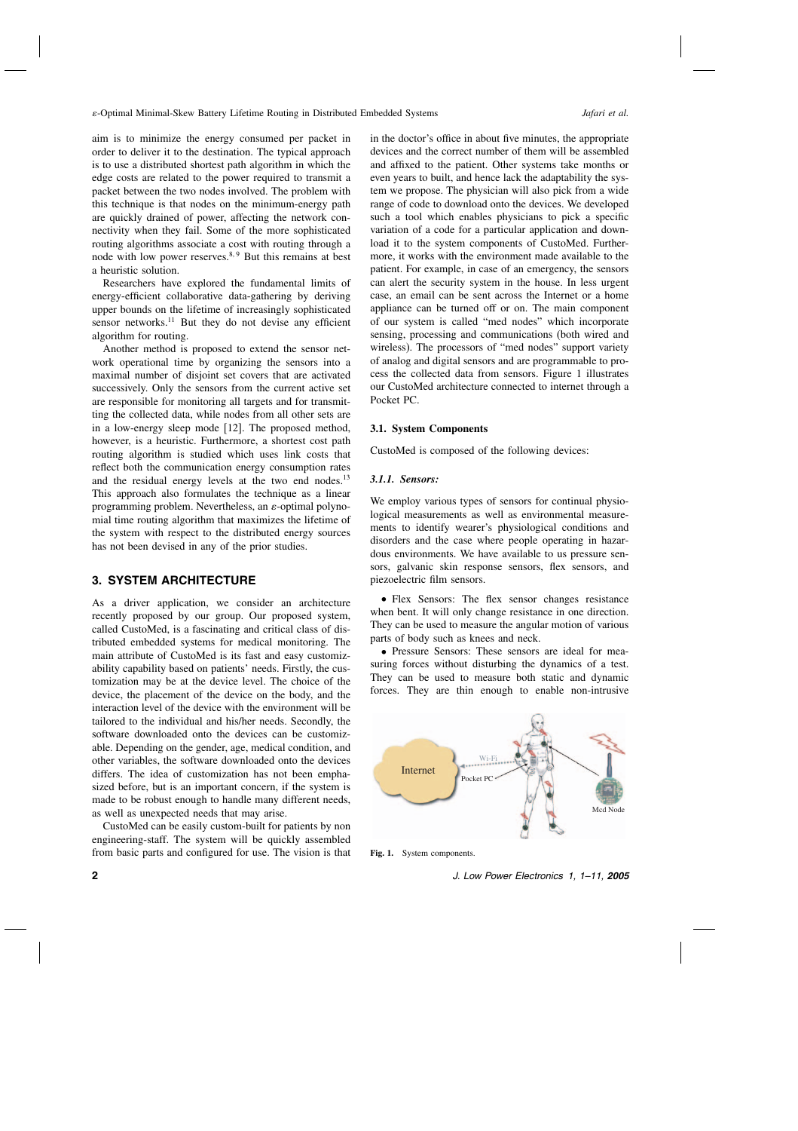aim is to minimize the energy consumed per packet in order to deliver it to the destination.The typical approach is to use a distributed shortest path algorithm in which the edge costs are related to the power required to transmit a packet between the two nodes involved. The problem with this technique is that nodes on the minimum-energy path are quickly drained of power, affecting the network connectivity when they fail.Some of the more sophisticated routing algorithms associate a cost with routing through a node with low power reserves.<sup>8,9</sup> But this remains at best a heuristic solution.

Researchers have explored the fundamental limits of energy-efficient collaborative data-gathering by deriving upper bounds on the lifetime of increasingly sophisticated sensor networks.<sup>11</sup> But they do not devise any efficient algorithm for routing.

Another method is proposed to extend the sensor network operational time by organizing the sensors into a maximal number of disjoint set covers that are activated successively. Only the sensors from the current active set are responsible for monitoring all targets and for transmitting the collected data, while nodes from all other sets are in a low-energy sleep mode [12]. The proposed method, however, is a heuristic. Furthermore, a shortest cost path routing algorithm is studied which uses link costs that reflect both the communication energy consumption rates and the residual energy levels at the two end nodes.<sup>13</sup> This approach also formulates the technique as a linear programming problem. Nevertheless, an  $\varepsilon$ -optimal polynomial time routing algorithm that maximizes the lifetime of the system with respect to the distributed energy sources has not been devised in any of the prior studies.

# 3.SYSTEM ARCHITECTURE

As a driver application, we consider an architecture recently proposed by our group. Our proposed system, called CustoMed, is a fascinating and critical class of distributed embedded systems for medical monitoring.The main attribute of CustoMed is its fast and easy customizability capability based on patients' needs. Firstly, the customization may be at the device level.The choice of the device, the placement of the device on the body, and the interaction level of the device with the environment will be tailored to the individual and his/her needs. Secondly, the software downloaded onto the devices can be customizable.Depending on the gender, age, medical condition, and other variables, the software downloaded onto the devices differs.The idea of customization has not been emphasized before, but is an important concern, if the system is made to be robust enough to handle many different needs, as well as unexpected needs that may arise.

CustoMed can be easily custom-built for patients by non engineering-staff.The system will be quickly assembled from basic parts and configured for use.The vision is that in the doctor's office in about five minutes, the appropriate devices and the correct number of them will be assembled and affixed to the patient.Other systems take months or even years to built, and hence lack the adaptability the system we propose.The physician will also pick from a wide range of code to download onto the devices.We developed such a tool which enables physicians to pick a specific variation of a code for a particular application and download it to the system components of CustoMed. Furthermore, it works with the environment made available to the patient. For example, in case of an emergency, the sensors can alert the security system in the house.In less urgent case, an email can be sent across the Internet or a home appliance can be turned off or on.The main component of our system is called "med nodes" which incorporate sensing, processing and communications (both wired and wireless). The processors of "med nodes" support variety of analog and digital sensors and are programmable to process the collected data from sensors. Figure 1 illustrates our CustoMed architecture connected to internet through a Pocket PC.

#### 3.1. System Components

CustoMed is composed of the following devices:

#### 3.1.1. Sensors:

We employ various types of sensors for continual physiological measurements as well as environmental measurements to identify wearer's physiological conditions and disorders and the case where people operating in hazardous environments.We have available to us pressure sensors, galvanic skin response sensors, flex sensors, and piezoelectric film sensors.

• Flex Sensors: The flex sensor changes resistance when bent. It will only change resistance in one direction. They can be used to measure the angular motion of various parts of body such as knees and neck.

• Pressure Sensors: These sensors are ideal for measuring forces without disturbing the dynamics of a test. They can be used to measure both static and dynamic forces.They are thin enough to enable non-intrusive



Fig. 1. System components.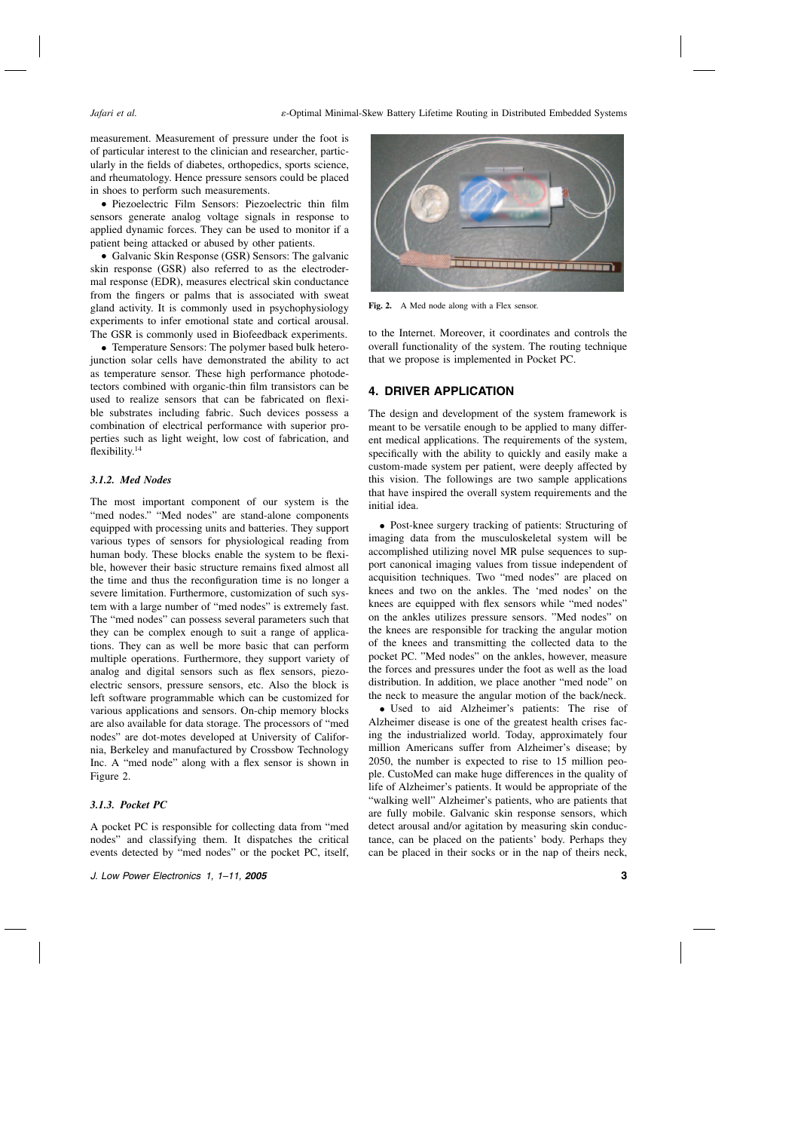measurement. Measurement of pressure under the foot is of particular interest to the clinician and researcher, particularly in the fields of diabetes, orthopedics, sports science, and rheumatology.Hence pressure sensors could be placed in shoes to perform such measurements.

• Piezoelectric Film Sensors: Piezoelectric thin film sensors generate analog voltage signals in response to applied dynamic forces.They can be used to monitor if a patient being attacked or abused by other patients.

• Galvanic Skin Response (GSR) Sensors: The galvanic skin response (GSR) also referred to as the electrodermal response (EDR), measures electrical skin conductance from the fingers or palms that is associated with sweat gland activity.It is commonly used in psychophysiology experiments to infer emotional state and cortical arousal. The GSR is commonly used in Biofeedback experiments.

• Temperature Sensors: The polymer based bulk heterojunction solar cells have demonstrated the ability to act as temperature sensor. These high performance photodetectors combined with organic-thin film transistors can be used to realize sensors that can be fabricated on flexible substrates including fabric. Such devices possess a combination of electrical performance with superior properties such as light weight, low cost of fabrication, and flexibility.<sup>14</sup>

#### 3.1.2. Med Nodes

The most important component of our system is the "med nodes." "Med nodes" are stand-alone components equipped with processing units and batteries.They support various types of sensors for physiological reading from human body. These blocks enable the system to be flexible, however their basic structure remains fixed almost all the time and thus the reconfiguration time is no longer a severe limitation. Furthermore, customization of such system with a large number of "med nodes" is extremely fast. The "med nodes" can possess several parameters such that they can be complex enough to suit a range of applications.They can as well be more basic that can perform multiple operations. Furthermore, they support variety of analog and digital sensors such as flex sensors, piezoelectric sensors, pressure sensors, etc.Also the block is left software programmable which can be customized for various applications and sensors. On-chip memory blocks are also available for data storage.The processors of "med nodes" are dot-motes developed at University of California, Berkeley and manufactured by Crossbow Technology Inc.A "med node" along with a flex sensor is shown in Figure 2.

# 3.1.3. Pocket PC

A pocket PC is responsible for collecting data from "med nodes" and classifying them.It dispatches the critical events detected by "med nodes" or the pocket PC, itself,



Fig. 2. A Med node along with a Flex sensor.

to the Internet.Moreover, it coordinates and controls the overall functionality of the system.The routing technique that we propose is implemented in Pocket PC.

# 4.DRIVER APPLICATION

The design and development of the system framework is meant to be versatile enough to be applied to many different medical applications.The requirements of the system, specifically with the ability to quickly and easily make a custom-made system per patient, were deeply affected by this vision.The followings are two sample applications that have inspired the overall system requirements and the initial idea.

• Post-knee surgery tracking of patients: Structuring of imaging data from the musculoskeletal system will be accomplished utilizing novel MR pulse sequences to support canonical imaging values from tissue independent of acquisition techniques.Two "med nodes" are placed on knees and two on the ankles.The 'med nodes' on the knees are equipped with flex sensors while "med nodes" on the ankles utilizes pressure sensors."Med nodes" on the knees are responsible for tracking the angular motion of the knees and transmitting the collected data to the pocket PC."Med nodes" on the ankles, however, measure the forces and pressures under the foot as well as the load distribution. In addition, we place another "med node" on the neck to measure the angular motion of the back/neck.

• Used to aid Alzheimer's patients: The rise of Alzheimer disease is one of the greatest health crises facing the industrialized world. Today, approximately four million Americans suffer from Alzheimer's disease; by 2050, the number is expected to rise to 15 million people.CustoMed can make huge differences in the quality of life of Alzheimer's patients.It would be appropriate of the "walking well" Alzheimer's patients, who are patients that are fully mobile. Galvanic skin response sensors, which detect arousal and/or agitation by measuring skin conductance, can be placed on the patients' body. Perhaps they can be placed in their socks or in the nap of theirs neck,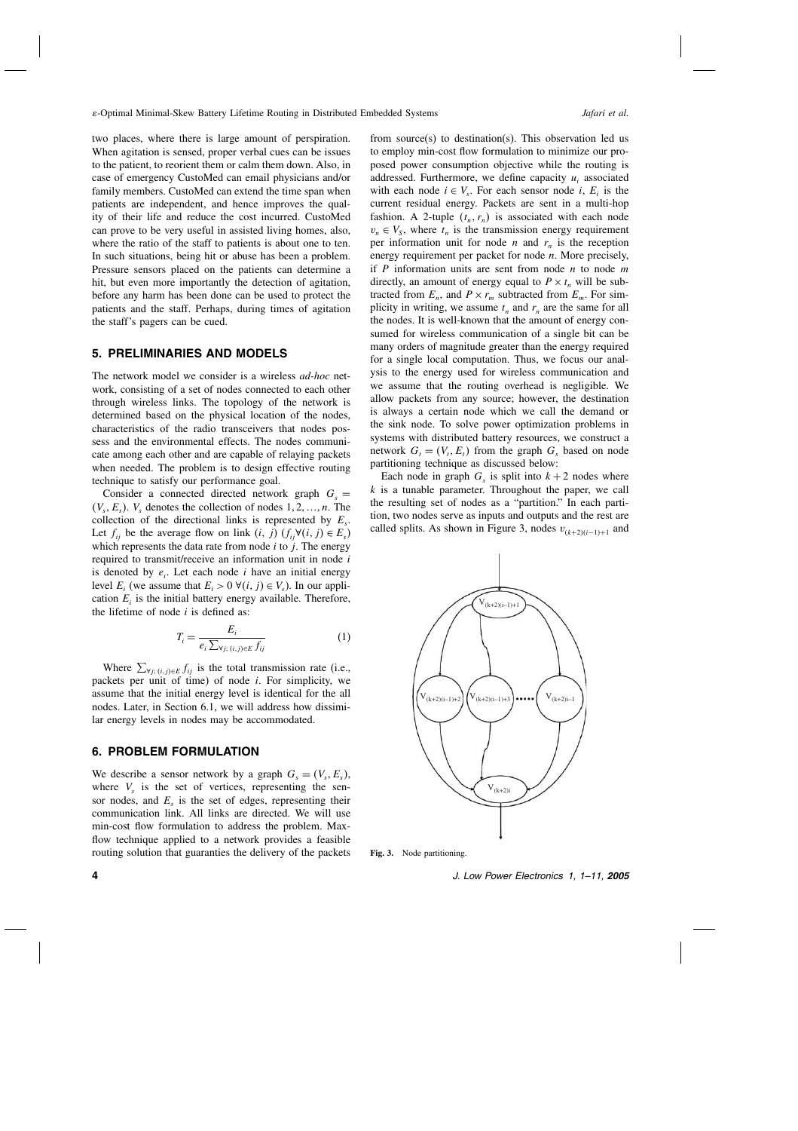two places, where there is large amount of perspiration. When agitation is sensed, proper verbal cues can be issues to the patient, to reorient them or calm them down.Also, in case of emergency CustoMed can email physicians and/or family members. CustoMed can extend the time span when patients are independent, and hence improves the quality of their life and reduce the cost incurred. CustoMed can prove to be very useful in assisted living homes, also, where the ratio of the staff to patients is about one to ten. In such situations, being hit or abuse has been a problem. Pressure sensors placed on the patients can determine a hit, but even more importantly the detection of agitation, before any harm has been done can be used to protect the patients and the staff. Perhaps, during times of agitation the staff's pagers can be cued.

#### 5.PRELIMINARIES AND MODELS

The network model we consider is a wireless *ad-hoc* network, consisting of a set of nodes connected to each other through wireless links. The topology of the network is determined based on the physical location of the nodes, characteristics of the radio transceivers that nodes possess and the environmental effects. The nodes communicate among each other and are capable of relaying packets when needed. The problem is to design effective routing technique to satisfy our performance goal.

Consider a connected directed network graph  $G_s =$  $(V<sub>s</sub>, E<sub>s</sub>)$ .  $V<sub>s</sub>$  denotes the collection of nodes 1, 2, ..., *n*. The collection of the directional links is represented by  $E_s$ . Let  $f_{ij}$  be the average flow on link  $(i, j)$   $(f_{ij} \forall (i, j) \in E_s)$ which represents the data rate from node  $i$  to  $j$ . The energy required to transmit/receive an information unit in node i is denoted by  $e_i$ . Let each node *i* have an initial energy level  $E_i$  (we assume that  $E_i > 0 \ \forall (i, j) \in V_s$ ). In our application  $E_i$  is the initial battery energy available. Therefore, the lifetime of node  $i$  is defined as:

$$
T_i = \frac{E_i}{e_i \sum_{\forall j; (i,j) \in E} f_{ij}} \tag{1}
$$

Where  $\sum_{\forall j; (i,j) \in E} f_{ij}$  is the total transmission rate (i.e., packets per unit of time) of node  $i$ . For simplicity, we assume that the initial energy level is identical for the all nodes.Later, in Section 6.1, we will address how dissimilar energy levels in nodes may be accommodated.

#### 6.PROBLEM FORMULATION

We describe a sensor network by a graph  $G_s = (V_s, E_s)$ , where  $V<sub>s</sub>$  is the set of vertices, representing the sensor nodes, and  $E<sub>s</sub>$  is the set of edges, representing their communication link.All links are directed.We will use min-cost flow formulation to address the problem. Maxflow technique applied to a network provides a feasible routing solution that guaranties the delivery of the packets from source $(s)$  to destination $(s)$ . This observation led us to employ min-cost flow formulation to minimize our proposed power consumption objective while the routing is addressed. Furthermore, we define capacity  $u_i$  associated with each node  $i \in V_s$ . For each sensor node i,  $E_i$  is the current residual energy. Packets are sent in a multi-hop fashion. A 2-tuple  $(t_n, r_n)$  is associated with each node  $v_n \in V_s$ , where  $t_n$  is the transmission energy requirement per information unit for node *n* and  $r_n$  is the reception energy requirement per packet for node  $n$ . More precisely, if  $P$  information units are sent from node  $n$  to node  $m$ directly, an amount of energy equal to  $P \times t_n$  will be subtracted from  $E_n$ , and  $P \times r_m$  subtracted from  $E_m$ . For simplicity in writing, we assume  $t_n$  and  $r_n$  are the same for all the nodes.It is well-known that the amount of energy consumed for wireless communication of a single bit can be many orders of magnitude greater than the energy required for a single local computation.Thus, we focus our analysis to the energy used for wireless communication and we assume that the routing overhead is negligible.We allow packets from any source; however, the destination is always a certain node which we call the demand or the sink node.To solve power optimization problems in systems with distributed battery resources, we construct a network  $G_t = (V_t, E_t)$  from the graph  $G_s$  based on node partitioning technique as discussed below:

Each node in graph  $G_s$  is split into  $k + 2$  nodes where  $k$  is a tunable parameter. Throughout the paper, we call the resulting set of nodes as a "partition." In each partition, two nodes serve as inputs and outputs and the rest are called splits. As shown in Figure 3, nodes  $v_{(k+2)(i-1)+1}$  and



Fig. 3. Node partitioning.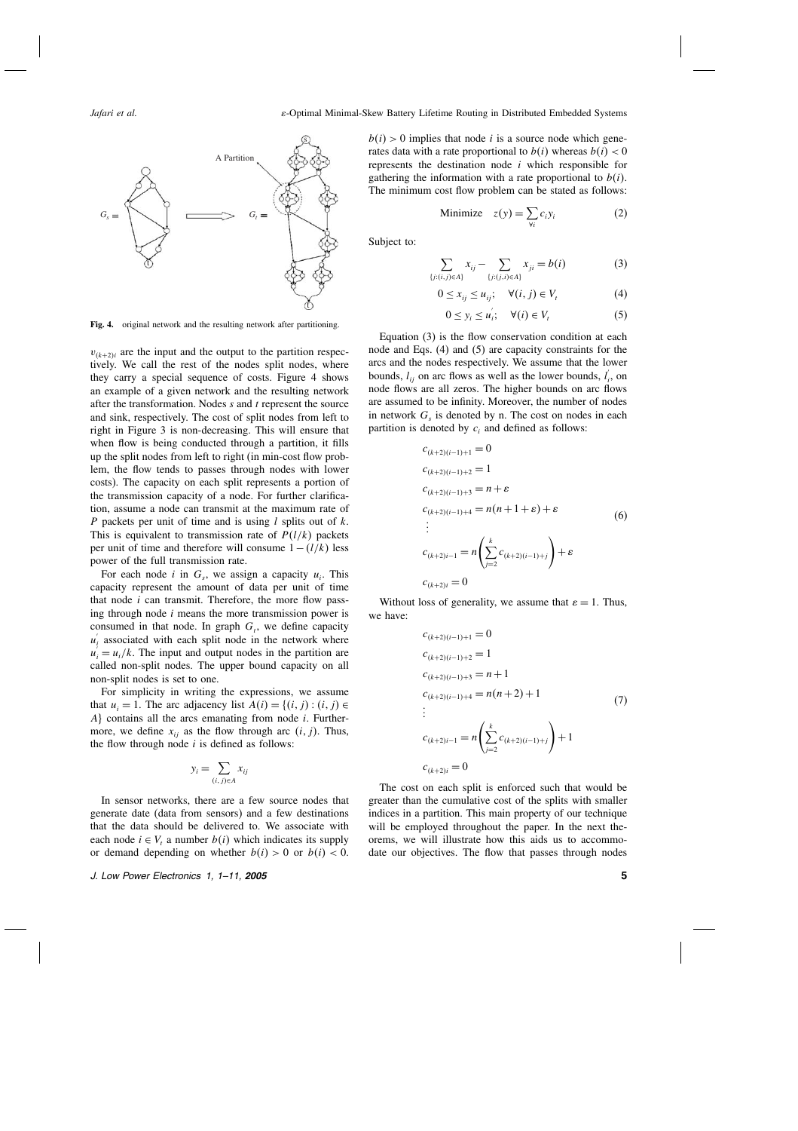

Fig. 4. original network and the resulting network after partitioning.

 $v_{(k+2)i}$  are the input and the output to the partition respectively.We call the rest of the nodes split nodes, where they carry a special sequence of costs. Figure 4 shows an example of a given network and the resulting network after the transformation. Nodes  $s$  and  $t$  represent the source and sink, respectively.The cost of split nodes from left to right in Figure 3 is non-decreasing.This will ensure that when flow is being conducted through a partition, it fills up the split nodes from left to right (in min-cost flow problem, the flow tends to passes through nodes with lower costs).The capacity on each split represents a portion of the transmission capacity of a node.For further clarification, assume a node can transmit at the maximum rate of P packets per unit of time and is using  $l$  splits out of  $k$ . This is equivalent to transmission rate of  $P(l/k)$  packets per unit of time and therefore will consume  $1-(l/k)$  less power of the full transmission rate.

For each node i in  $G_s$ , we assign a capacity  $u_i$ . This capacity represent the amount of data per unit of time that node  $i$  can transmit. Therefore, the more flow passing through node  $i$  means the more transmission power is consumed in that node. In graph  $G_t$ , we define capacity  $u'_{i}$  associated with each split node in the network where  $u'_i = u_i/k$ . The input and output nodes in the partition are called non-split nodes.The upper bound capacity on all non-split nodes is set to one.

For simplicity in writing the expressions, we assume that  $u_i = 1$ . The arc adjacency list  $A(i) = \{(i, j) : (i, j) \in$  $A$ } contains all the arcs emanating from node *i*. Furthermore, we define  $x_{ij}$  as the flow through arc  $(i, j)$ . Thus, the flow through node  $i$  is defined as follows:

$$
y_i = \sum_{(i,j)\in A} x_{ij}
$$

In sensor networks, there are a few source nodes that generate date (data from sensors) and a few destinations that the data should be delivered to.We associate with each node  $i \in V_t$  a number  $b(i)$  which indicates its supply or demand depending on whether  $b(i) > 0$  or  $b(i) < 0$ .

 $b(i) > 0$  implies that node *i* is a source node which generates data with a rate proportional to  $b(i)$  whereas  $b(i) < 0$ represents the destination node i which responsible for gathering the information with a rate proportional to  $b(i)$ . The minimum cost flow problem can be stated as follows:

$$
\text{Minimize} \quad z(y) = \sum_{\forall i} c_i y_i \tag{2}
$$

Subject to:

$$
\sum_{\{j:(i,j)\in A\}} x_{ij} - \sum_{\{j:(j,i)\in A\}} x_{ji} = b(i) \tag{3}
$$

$$
0 \le x_{ij} \le u_{ij}; \quad \forall (i, j) \in V_t \tag{4}
$$

$$
0 \le y_i \le u'_i; \quad \forall (i) \in V_t \tag{5}
$$

Equation (3) is the flow conservation condition at each node and Eqs.(4) and (5) are capacity constraints for the arcs and the nodes respectively.We assume that the lower bounds,  $l_{ij}$  on arc flows as well as the lower bounds,  $l'_{i}$ , on node flows are all zeros.The higher bounds on arc flows are assumed to be infinity.Moreover, the number of nodes in network  $G<sub>s</sub>$  is denoted by n. The cost on nodes in each partition is denoted by  $c_i$  and defined as follows:

$$
c_{(k+2)(i-1)+1} = 0
$$
  
\n
$$
c_{(k+2)(i-1)+2} = 1
$$
  
\n
$$
c_{(k+2)(i-1)+3} = n + \varepsilon
$$
  
\n
$$
c_{(k+2)(i-1)+4} = n(n+1+\varepsilon) + \varepsilon
$$
  
\n
$$
\vdots
$$
  
\n
$$
c_{(k+2)i-1} = n\left(\sum_{j=2}^{k} c_{(k+2)(i-1)+j}\right) + \varepsilon
$$
  
\n
$$
c_{(k+2)i} = 0
$$
 (6)

Without loss of generality, we assume that  $\varepsilon = 1$ . Thus, we have:

$$
c_{(k+2)(i-1)+1} = 0
$$
  
\n
$$
c_{(k+2)(i-1)+2} = 1
$$
  
\n
$$
c_{(k+2)(i-1)+3} = n+1
$$
  
\n
$$
c_{(k+2)(i-1)+4} = n(n+2)+1
$$
  
\n
$$
\vdots
$$
  
\n
$$
c_{(k+2)i-1} = n\left(\sum_{j=2}^{k} c_{(k+2)(i-1)+j}\right) + 1
$$
  
\n
$$
c_{(k+2)i} = 0
$$
 (7)

The cost on each split is enforced such that would be greater than the cumulative cost of the splits with smaller indices in a partition.This main property of our technique will be employed throughout the paper. In the next theorems, we will illustrate how this aids us to accommodate our objectives. The flow that passes through nodes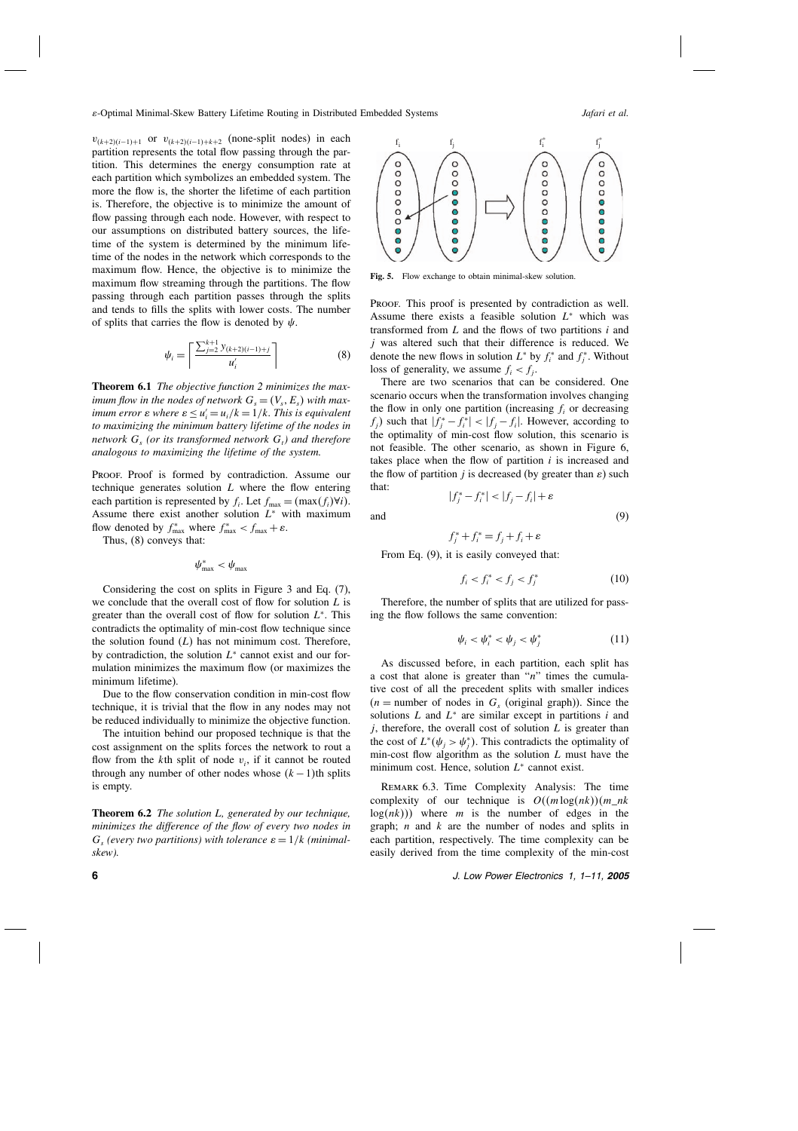$v_{(k+2)(i-1)+1}$  or  $v_{(k+2)(i-1)+k+2}$  (none-split nodes) in each partition represents the total flow passing through the partition.This determines the energy consumption rate at each partition which symbolizes an embedded system.The more the flow is, the shorter the lifetime of each partition is.Therefore, the objective is to minimize the amount of flow passing through each node. However, with respect to our assumptions on distributed battery sources, the lifetime of the system is determined by the minimum lifetime of the nodes in the network which corresponds to the maximum flow. Hence, the objective is to minimize the maximum flow streaming through the partitions.The flow passing through each partition passes through the splits and tends to fills the splits with lower costs.The number of splits that carries the flow is denoted by  $\psi$ .

$$
\psi_i = \left\lceil \frac{\sum_{j=2}^{k+1} y_{(k+2)(i-1)+j}}{u'_i} \right\rceil \tag{8}
$$

Theorem 6.1 The objective function 2 minimizes the maximum flow in the nodes of network  $G_s = (V_s, E_s)$  with maximum error  $\varepsilon$  where  $\varepsilon \le u'_i = u_i/k = 1/k$ . This is equivalent to maximizing the minimum battery lifetime of the nodes in network  $G_s$  (or its transformed network  $G_t$ ) and therefore analogous to maximizing the lifetime of the system.

PROOF. Proof is formed by contradiction. Assume our technique generates solution L where the flow entering each partition is represented by  $f_i$ . Let  $f_{\text{max}} = (\max(f_i)\forall i)$ . Assume there exist another solution  $L^*$  with maximum flow denoted by  $f_{\text{max}}^*$  where  $f_{\text{max}}^* < f_{\text{max}} + \varepsilon$ .

Thus, (8) conveys that:

$$
\psi_{\max}^* < \psi_{\max}
$$

Considering the cost on splits in Figure 3 and Eq.(7), we conclude that the overall cost of flow for solution  $L$  is greater than the overall cost of flow for solution  $L^*$ . This contradicts the optimality of min-cost flow technique since the solution found  $(L)$  has not minimum cost. Therefore, by contradiction, the solution  $L^*$  cannot exist and our formulation minimizes the maximum flow (or maximizes the minimum lifetime).

Due to the flow conservation condition in min-cost flow technique, it is trivial that the flow in any nodes may not be reduced individually to minimize the objective function.

The intuition behind our proposed technique is that the cost assignment on the splits forces the network to rout a flow from the kth split of node  $v_i$ , if it cannot be routed through any number of other nodes whose  $(k-1)$ th splits is empty.

Theorem 6.2 The solution L, generated by our technique, minimizes the difference of the flow of every two nodes in  $G_s$  (every two partitions) with tolerance  $\varepsilon = 1/k$  (minimalskew).



Fig. 5. Flow exchange to obtain minimal-skew solution.

PROOF. This proof is presented by contradiction as well. Assume there exists a feasible solution  $L^*$  which was transformed from  $L$  and the flows of two partitions  $i$  and  $j$  was altered such that their difference is reduced. We denote the new flows in solution  $L^*$  by  $f_i^*$  and  $f_j^*$ . Without loss of generality, we assume  $f_i < f_i$ .

There are two scenarios that can be considered. One scenario occurs when the transformation involves changing the flow in only one partition (increasing  $f_i$  or decreasing  $f_j$ ) such that  $|f_j^* - f_i^*| < |f_j - f_i|$ . However, according to the optimality of min-cost flow solution, this scenario is not feasible.The other scenario, as shown in Figure 6, takes place when the flow of partition  $i$  is increased and the flow of partition *j* is decreased (by greater than  $\varepsilon$ ) such that:

and

$$
f_j^* + f_i^* = f_j + f_i + \varepsilon
$$

 $|f_j^* - f_i^*| < |f_j - f_i| + \varepsilon$ 

From Eq.(9), it is easily conveyed that:

$$
f_i < f_i^* < f_j < f_j^* \tag{10}
$$

(9)

Therefore, the number of splits that are utilized for passing the flow follows the same convention:

$$
\psi_i < \psi_i^* < \psi_j < \psi_j^* \tag{11}
$$

As discussed before, in each partition, each split has a cost that alone is greater than " $n$ " times the cumulative cost of all the precedent splits with smaller indices  $(n =$  number of nodes in  $G_s$  (original graph)). Since the solutions  $L$  and  $L^*$  are similar except in partitions i and  $j$ , therefore, the overall cost of solution  $L$  is greater than the cost of  $L^*(\psi_j > \psi_j^*)$ . This contradicts the optimality of min-cost flow algorithm as the solution  $L$  must have the minimum cost. Hence, solution  $L^*$  cannot exist.

Remark 6.3. Time Complexity Analysis: The time complexity of our technique is  $O((m \log(nk))(m_nk)$  $log(nk))$  where *m* is the number of edges in the graph; *n* and *k* are the number of nodes and splits in each partition, respectively.The time complexity can be easily derived from the time complexity of the min-cost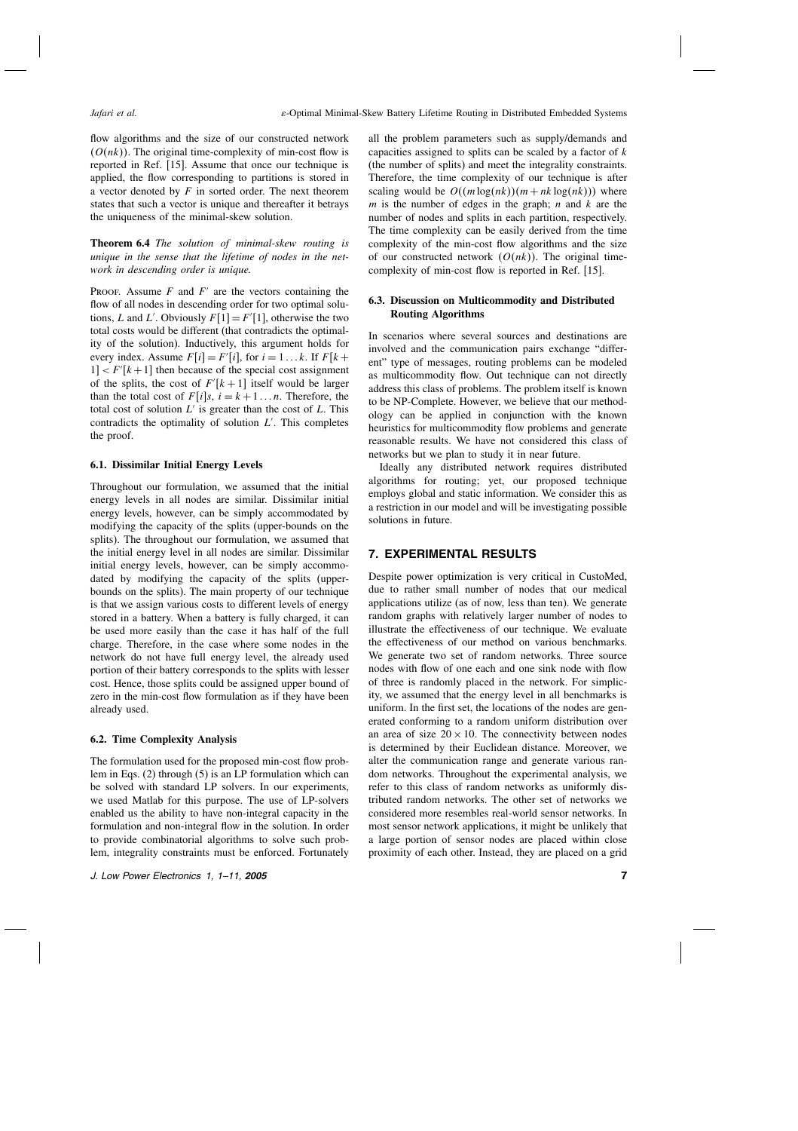flow algorithms and the size of our constructed network  $(O(nk))$ . The original time-complexity of min-cost flow is reported in Ref.[15].Assume that once our technique is applied, the flow corresponding to partitions is stored in a vector denoted by  $F$  in sorted order. The next theorem states that such a vector is unique and thereafter it betrays the uniqueness of the minimal-skew solution.

Theorem 6.4 The solution of minimal-skew routing is unique in the sense that the lifetime of nodes in the network in descending order is unique.

PROOF. Assume  $F$  and  $F'$  are the vectors containing the flow of all nodes in descending order for two optimal solutions, L and L'. Obviously  $F[1] = F'[1]$ , otherwise the two total costs would be different (that contradicts the optimality of the solution). Inductively, this argument holds for every index. Assume  $F[i] = F'[i]$ , for  $i = 1 \dots k$ . If  $F[k+$  $1 \leq F'[k+1]$  then because of the special cost assignment of the splits, the cost of  $F'[k+1]$  itself would be larger than the total cost of  $F[i]s$ ,  $i = k+1...n$ . Therefore, the total cost of solution  $L'$  is greater than the cost of  $L$ . This contradicts the optimality of solution  $L'$ . This completes the proof.

#### 6.1. Dissimilar Initial Energy Levels

Throughout our formulation, we assumed that the initial energy levels in all nodes are similar.Dissimilar initial energy levels, however, can be simply accommodated by modifying the capacity of the splits (upper-bounds on the splits). The throughout our formulation, we assumed that the initial energy level in all nodes are similar. Dissimilar initial energy levels, however, can be simply accommodated by modifying the capacity of the splits (upperbounds on the splits). The main property of our technique is that we assign various costs to different levels of energy stored in a battery.When a battery is fully charged, it can be used more easily than the case it has half of the full charge.Therefore, in the case where some nodes in the network do not have full energy level, the already used portion of their battery corresponds to the splits with lesser cost.Hence, those splits could be assigned upper bound of zero in the min-cost flow formulation as if they have been already used.

#### 6.2. Time Complexity Analysis

The formulation used for the proposed min-cost flow problem in Eqs.(2) through (5) is an LP formulation which can be solved with standard LP solvers. In our experiments, we used Matlab for this purpose.The use of LP-solvers enabled us the ability to have non-integral capacity in the formulation and non-integral flow in the solution.In order to provide combinatorial algorithms to solve such problem, integrality constraints must be enforced. Fortunately all the problem parameters such as supply/demands and capacities assigned to splits can be scaled by a factor of  $k$ (the number of splits) and meet the integrality constraints. Therefore, the time complexity of our technique is after scaling would be  $O((m \log(n k))(m + nk \log(n k)))$  where m is the number of edges in the graph;  $n$  and  $k$  are the number of nodes and splits in each partition, respectively. The time complexity can be easily derived from the time complexity of the min-cost flow algorithms and the size of our constructed network  $(O(nk))$ . The original timecomplexity of min-cost flow is reported in Ref.[15].

#### 6.3. Discussion on Multicommodity and Distributed Routing Algorithms

In scenarios where several sources and destinations are involved and the communication pairs exchange "different" type of messages, routing problems can be modeled as multicommodity flow.Out technique can not directly address this class of problems.The problem itself is known to be NP-Complete. However, we believe that our methodology can be applied in conjunction with the known heuristics for multicommodity flow problems and generate reasonable results.We have not considered this class of networks but we plan to study it in near future.

Ideally any distributed network requires distributed algorithms for routing; yet, our proposed technique employs global and static information.We consider this as a restriction in our model and will be investigating possible solutions in future.

# 7.EXPERIMENTAL RESULTS

Despite power optimization is very critical in CustoMed, due to rather small number of nodes that our medical applications utilize (as of now, less than ten). We generate random graphs with relatively larger number of nodes to illustrate the effectiveness of our technique. We evaluate the effectiveness of our method on various benchmarks. We generate two set of random networks. Three source nodes with flow of one each and one sink node with flow of three is randomly placed in the network.For simplicity, we assumed that the energy level in all benchmarks is uniform.In the first set, the locations of the nodes are generated conforming to a random uniform distribution over an area of size  $20 \times 10$ . The connectivity between nodes is determined by their Euclidean distance. Moreover, we alter the communication range and generate various random networks. Throughout the experimental analysis, we refer to this class of random networks as uniformly distributed random networks.The other set of networks we considered more resembles real-world sensor networks.In most sensor network applications, it might be unlikely that a large portion of sensor nodes are placed within close proximity of each other.Instead, they are placed on a grid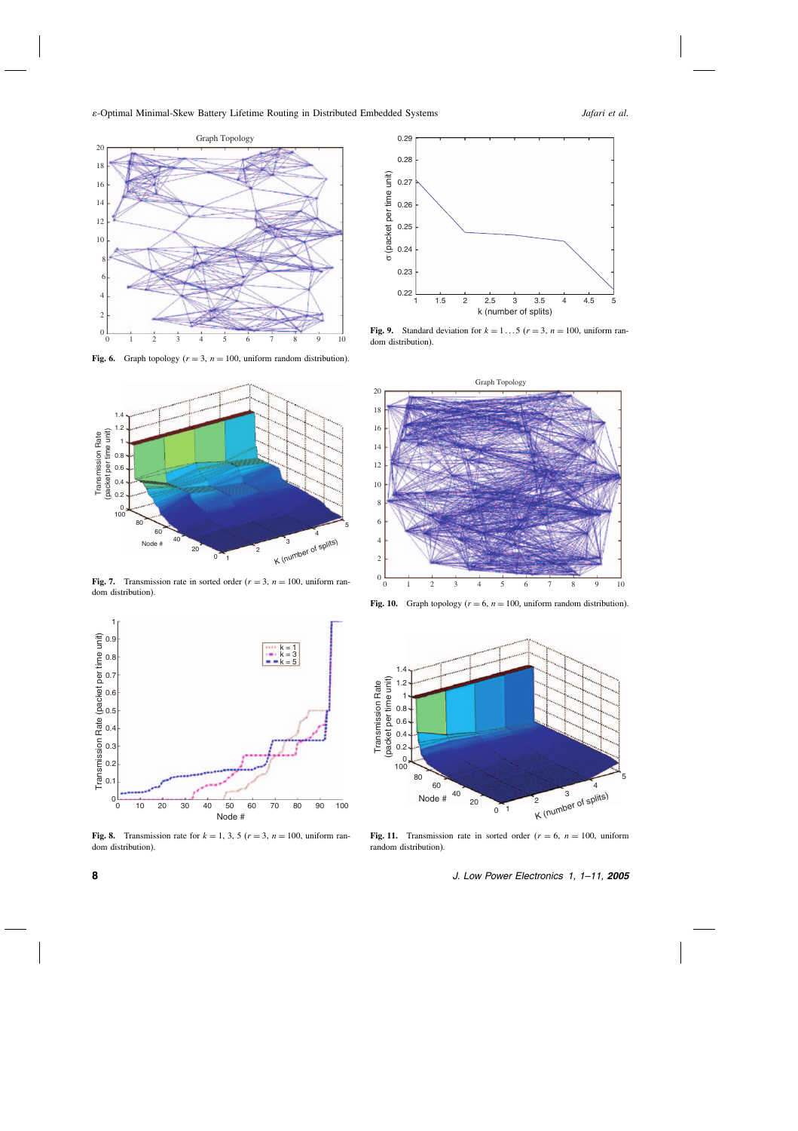

Fig. 6. Graph topology ( $r = 3$ ,  $n = 100$ , uniform random distribution).



Fig. 7. Transmission rate in sorted order  $(r = 3, n = 100, \text{ uniform random}$ dom distribution).



Fig. 8. Transmission rate for  $k = 1, 3, 5$  ( $r = 3, n = 100$ , uniform random distribution).



Fig. 9. Standard deviation for  $k = 1...5$  ( $r = 3$ ,  $n = 100$ , uniform random distribution).



Fig. 10. Graph topology ( $r = 6$ ,  $n = 100$ , uniform random distribution).



Fig. 11. Transmission rate in sorted order ( $r = 6$ ,  $n = 100$ , uniform random distribution).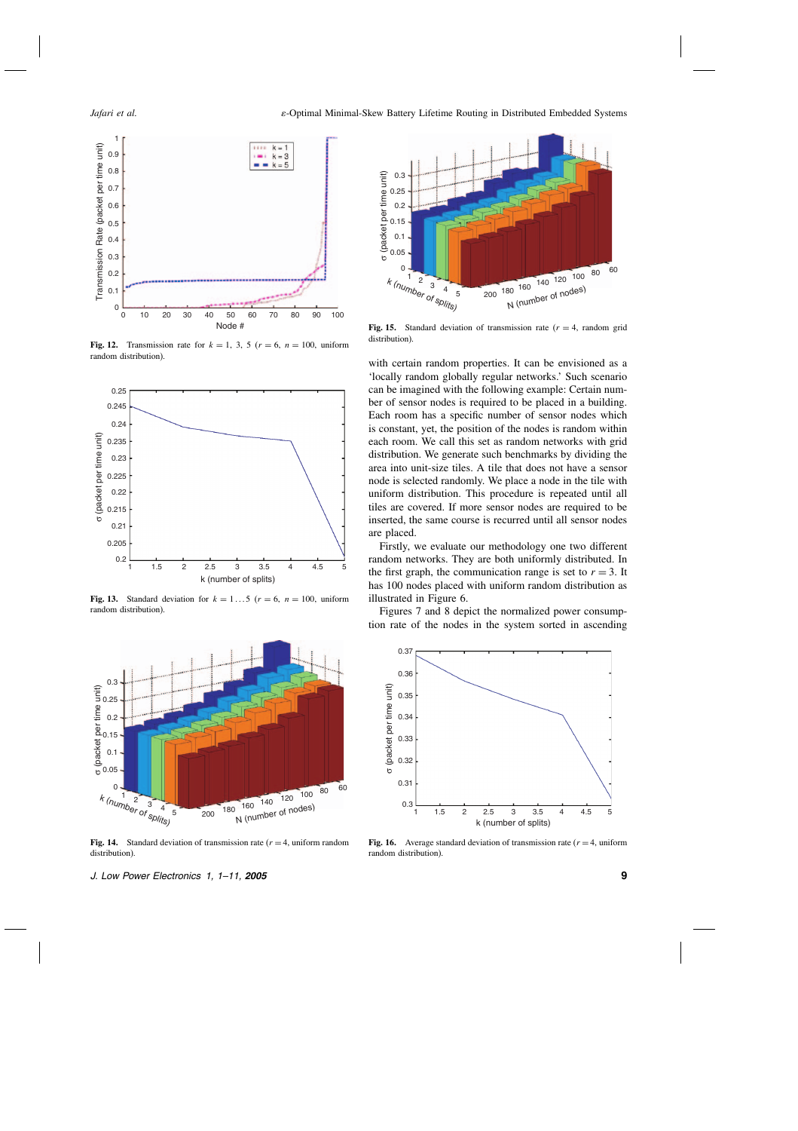

Fig. 12. Transmission rate for  $k = 1, 3, 5$  ( $r = 6, n = 100$ , uniform random distribution).



Fig. 13. Standard deviation for  $k = 1...5$  ( $r = 6$ ,  $n = 100$ , uniform random distribution).



Fig. 14. Standard deviation of transmission rate  $(r = 4$ , uniform random distribution).



Fig. 15. Standard deviation of transmission rate  $(r = 4, \text{ random grid})$ distribution).

with certain random properties. It can be envisioned as a 'locally random globally regular networks.' Such scenario can be imagined with the following example: Certain number of sensor nodes is required to be placed in a building. Each room has a specific number of sensor nodes which is constant, yet, the position of the nodes is random within each room.We call this set as random networks with grid distribution.We generate such benchmarks by dividing the area into unit-size tiles. A tile that does not have a sensor node is selected randomly.We place a node in the tile with uniform distribution.This procedure is repeated until all tiles are covered.If more sensor nodes are required to be inserted, the same course is recurred until all sensor nodes are placed.

Firstly, we evaluate our methodology one two different random networks. They are both uniformly distributed. In the first graph, the communication range is set to  $r = 3$ . It has 100 nodes placed with uniform random distribution as illustrated in Figure 6.

Figures 7 and 8 depict the normalized power consumption rate of the nodes in the system sorted in ascending



Fig. 16. Average standard deviation of transmission rate  $(r = 4$ , uniform random distribution).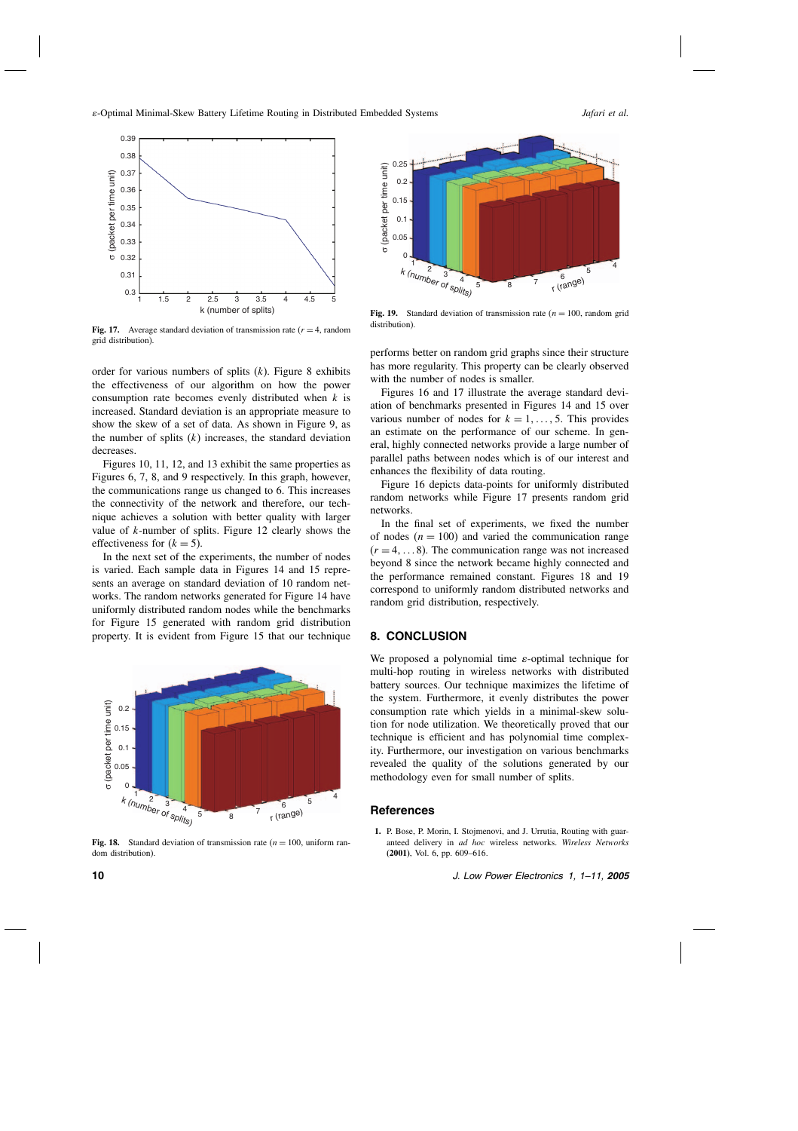

Fig. 17. Average standard deviation of transmission rate ( $r = 4$ , random grid distribution).

order for various numbers of splits  $(k)$ . Figure 8 exhibits the effectiveness of our algorithm on how the power consumption rate becomes evenly distributed when  $k$  is increased. Standard deviation is an appropriate measure to show the skew of a set of data. As shown in Figure 9, as the number of splits  $(k)$  increases, the standard deviation decreases.

Figures 10, 11, 12, and 13 exhibit the same properties as Figures 6, 7, 8, and 9 respectively. In this graph, however, the communications range us changed to 6.This increases the connectivity of the network and therefore, our technique achieves a solution with better quality with larger value of  $k$ -number of splits. Figure 12 clearly shows the effectiveness for  $(k = 5)$ .

In the next set of the experiments, the number of nodes is varied. Each sample data in Figures 14 and 15 represents an average on standard deviation of 10 random networks.The random networks generated for Figure 14 have uniformly distributed random nodes while the benchmarks for Figure 15 generated with random grid distribution property.It is evident from Figure 15 that our technique



Fig. 18. Standard deviation of transmission rate ( $n = 100$ , uniform random distribution).



Fig. 19. Standard deviation of transmission rate ( $n = 100$ , random grid distribution).

performs better on random grid graphs since their structure has more regularity. This property can be clearly observed with the number of nodes is smaller.

Figures 16 and 17 illustrate the average standard deviation of benchmarks presented in Figures 14 and 15 over various number of nodes for  $k = 1, \ldots, 5$ . This provides an estimate on the performance of our scheme.In general, highly connected networks provide a large number of parallel paths between nodes which is of our interest and enhances the flexibility of data routing.

Figure 16 depicts data-points for uniformly distributed random networks while Figure 17 presents random grid networks.

In the final set of experiments, we fixed the number of nodes  $(n = 100)$  and varied the communication range  $(r = 4, \ldots 8)$ . The communication range was not increased beyond 8 since the network became highly connected and the performance remained constant. Figures 18 and 19 correspond to uniformly random distributed networks and random grid distribution, respectively.

#### 8.CONCLUSION

We proposed a polynomial time  $\varepsilon$ -optimal technique for multi-hop routing in wireless networks with distributed battery sources. Our technique maximizes the lifetime of the system.Furthermore, it evenly distributes the power consumption rate which yields in a minimal-skew solution for node utilization.We theoretically proved that our technique is efficient and has polynomial time complexity. Furthermore, our investigation on various benchmarks revealed the quality of the solutions generated by our methodology even for small number of splits.

#### **References**

1. P. Bose, P. Morin, I. Stojmenovi, and J. Urrutia, Routing with guaranteed delivery in ad hoc wireless networks. Wireless Networks (2001), Vol.6, pp.609–616.